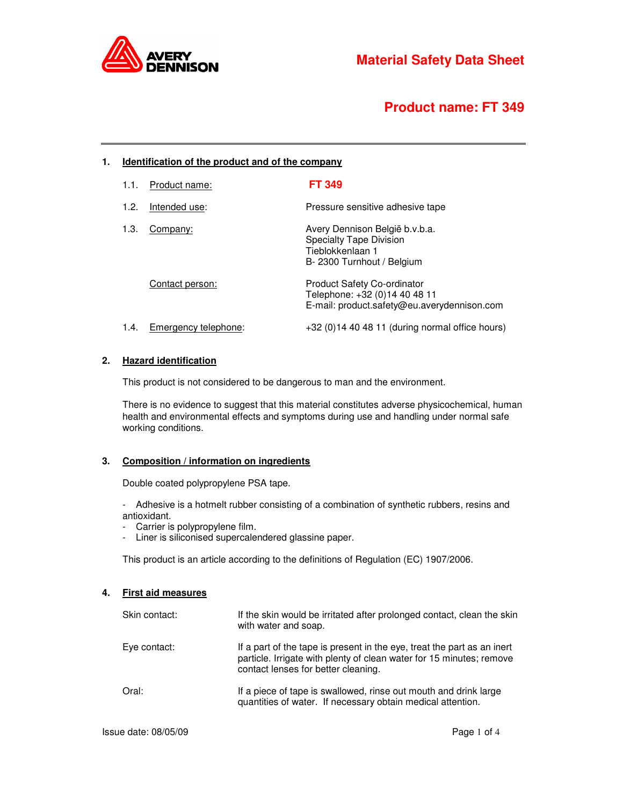

# **Product name: FT 349**

# **1. Identification of the product and of the company**

| 1.1. | Product name:        | <b>FT 349</b>                                                                                                      |
|------|----------------------|--------------------------------------------------------------------------------------------------------------------|
| 1.2. | Intended use:        | Pressure sensitive adhesive tape                                                                                   |
| 1.3. | Company:             | Avery Dennison België b.v.b.a.<br><b>Specialty Tape Division</b><br>Tieblokkenlaan 1<br>B-2300 Turnhout / Belgium  |
|      | Contact person:      | <b>Product Safety Co-ordinator</b><br>Telephone: +32 (0)14 40 48 11<br>E-mail: product.safety@eu.averydennison.com |
| 1.4. | Emergency telephone: | $+32$ (0)14 40 48 11 (during normal office hours)                                                                  |

# **2. Hazard identification**

This product is not considered to be dangerous to man and the environment.

There is no evidence to suggest that this material constitutes adverse physicochemical, human health and environmental effects and symptoms during use and handling under normal safe working conditions.

#### **3. Composition / information on ingredients**

Double coated polypropylene PSA tape.

- Adhesive is a hotmelt rubber consisting of a combination of synthetic rubbers, resins and antioxidant.

- Carrier is polypropylene film.
- Liner is siliconised supercalendered glassine paper.

This product is an article according to the definitions of Regulation (EC) 1907/2006.

## **4. First aid measures**

| Skin contact: | If the skin would be irritated after prolonged contact, clean the skin<br>with water and soap.                                                                                         |
|---------------|----------------------------------------------------------------------------------------------------------------------------------------------------------------------------------------|
| Eye contact:  | If a part of the tape is present in the eye, treat the part as an inert<br>particle. Irrigate with plenty of clean water for 15 minutes; remove<br>contact lenses for better cleaning. |
| Oral:         | If a piece of tape is swallowed, rinse out mouth and drink large<br>quantities of water. If necessary obtain medical attention.                                                        |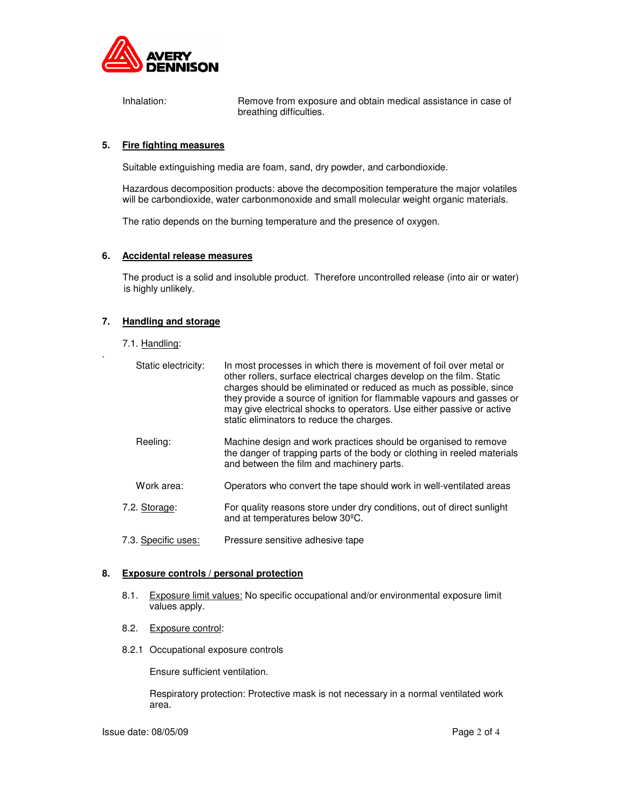

Inhalation: Remove from exposure and obtain medical assistance in case of breathing difficulties.

## **5. Fire fighting measures**

Suitable extinguishing media are foam, sand, dry powder, and carbondioxide.

Hazardous decomposition products: above the decomposition temperature the major volatiles will be carbondioxide, water carbonmonoxide and small molecular weight organic materials.

The ratio depends on the burning temperature and the presence of oxygen.

#### **6. Accidental release measures**

The product is a solid and insoluble product. Therefore uncontrolled release (into air or water) is highly unlikely.

# **7. Handling and storage**

7.1. Handling:

.

| Static electricity: | In most processes in which there is movement of foil over metal or<br>other rollers, surface electrical charges develop on the film. Static<br>charges should be eliminated or reduced as much as possible, since<br>they provide a source of ignition for flammable vapours and gasses or<br>may give electrical shocks to operators. Use either passive or active<br>static eliminators to reduce the charges. |
|---------------------|------------------------------------------------------------------------------------------------------------------------------------------------------------------------------------------------------------------------------------------------------------------------------------------------------------------------------------------------------------------------------------------------------------------|
| Reeling:            | Machine design and work practices should be organised to remove<br>the danger of trapping parts of the body or clothing in reeled materials<br>and between the film and machinery parts.                                                                                                                                                                                                                         |
| Work area:          | Operators who convert the tape should work in well-ventilated areas                                                                                                                                                                                                                                                                                                                                              |
| 7.2. Storage:       | For quality reasons store under dry conditions, out of direct sunlight<br>and at temperatures below 30 <sup>o</sup> C.                                                                                                                                                                                                                                                                                           |
| 7.3. Specific uses: | Pressure sensitive adhesive tape                                                                                                                                                                                                                                                                                                                                                                                 |

#### **8. Exposure controls / personal protection**

- 8.1. Exposure limit values: No specific occupational and/or environmental exposure limit values apply.
- 8.2. Exposure control:
- 8.2.1 Occupational exposure controls

Ensure sufficient ventilation.

Respiratory protection: Protective mask is not necessary in a normal ventilated work area.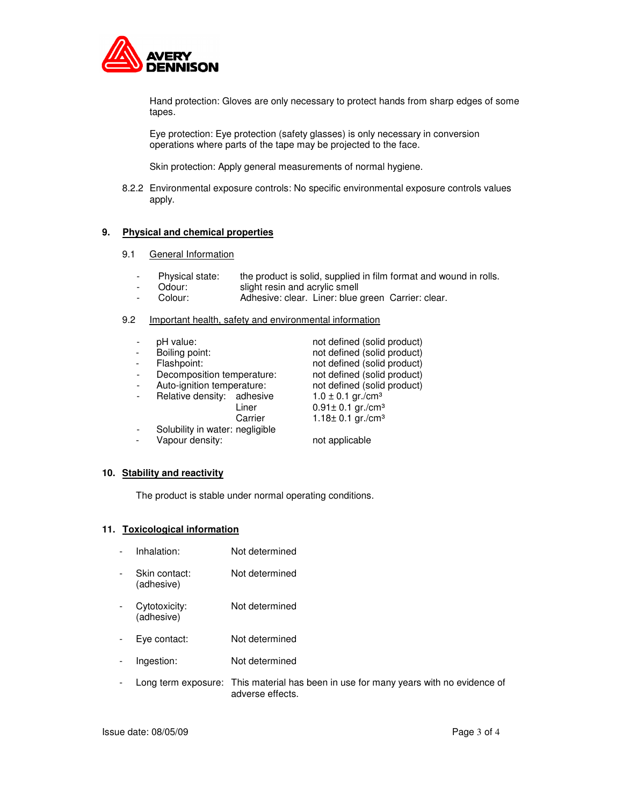

Hand protection: Gloves are only necessary to protect hands from sharp edges of some tapes.

Eye protection: Eye protection (safety glasses) is only necessary in conversion operations where parts of the tape may be projected to the face.

Skin protection: Apply general measurements of normal hygiene.

8.2.2 Environmental exposure controls: No specific environmental exposure controls values apply.

## **9. Physical and chemical properties**

- 9.1 **General Information** 
	- Physical state: the product is solid, supplied in film format and wound in rolls.
	- Odour: slight resin and acrylic smell
	- Colour: Adhesive: clear. Liner: blue green Carrier: clear.

## 9.2 Important health, safety and environmental information

| pH value:                       | not defined (solid product)        |
|---------------------------------|------------------------------------|
| Boiling point:                  | not defined (solid product)        |
| Flashpoint:                     | not defined (solid product)        |
| Decomposition temperature:      | not defined (solid product)        |
| Auto-ignition temperature:      | not defined (solid product)        |
| Relative density: adhesive      | $1.0 \pm 0.1$ gr./cm <sup>3</sup>  |
| Liner                           | $0.91 \pm 0.1$ gr./cm <sup>3</sup> |
| Carrier                         | $1.18 \pm 0.1$ gr./cm <sup>3</sup> |
| Solubility in water: negligible |                                    |
| Vapour density:                 | not applicable                     |

#### **10. Stability and reactivity**

The product is stable under normal operating conditions.

#### **11. Toxicological information**

- Inhalation: Not determined
- Skin contact: Not determined (adhesive)
- Cytotoxicity: Not determined (adhesive)
- Eye contact: Not determined
- Ingestion: Not determined
- Long term exposure: This material has been in use for many years with no evidence of adverse effects.